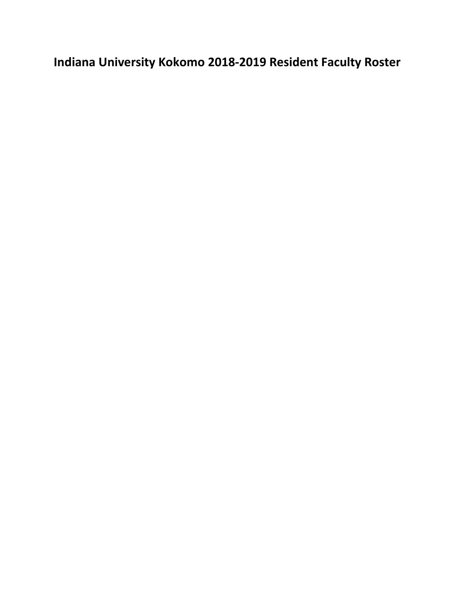**Indiana University Kokomo 2018-2019 Resident Faculty Roster**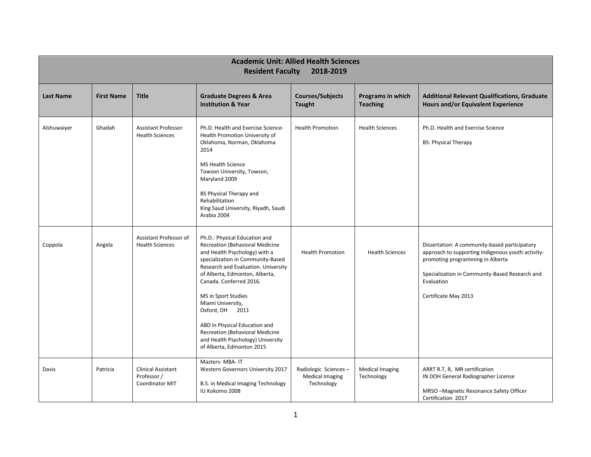| <b>Academic Unit: Allied Health Sciences</b><br><b>Resident Faculty</b><br>2018-2019 |                   |                                                             |                                                                                                                                                                                                                                                                                                                                                                                                                                                 |                                                              |                                      |                                                                                                                                                                                                                                |  |  |
|--------------------------------------------------------------------------------------|-------------------|-------------------------------------------------------------|-------------------------------------------------------------------------------------------------------------------------------------------------------------------------------------------------------------------------------------------------------------------------------------------------------------------------------------------------------------------------------------------------------------------------------------------------|--------------------------------------------------------------|--------------------------------------|--------------------------------------------------------------------------------------------------------------------------------------------------------------------------------------------------------------------------------|--|--|
| <b>Last Name</b>                                                                     | <b>First Name</b> | <b>Title</b>                                                | <b>Graduate Degrees &amp; Area</b><br><b>Institution &amp; Year</b>                                                                                                                                                                                                                                                                                                                                                                             | <b>Courses/Subjects</b><br><b>Taught</b>                     | Programs in which<br><b>Teaching</b> | <b>Additional Relevant Qualifications, Graduate</b><br>Hours and/or Equivalent Experience                                                                                                                                      |  |  |
| Alshuwaiyer                                                                          | Ghadah            | Assistant Professor<br><b>Health Sciences</b>               | Ph.D. Health and Exercise Science-<br>Health Promotion University of<br>Oklahoma, Norman, Oklahoma<br>2014<br><b>MS Health Science</b><br>Towson University, Towson,<br>Maryland 2009<br><b>BS Physical Therapy and</b><br>Rehabilitation<br>King Saud University, Riyadh, Saudi<br>Arabia 2004                                                                                                                                                 | <b>Health Promotion</b>                                      | <b>Health Sciences</b>               | Ph.D. Health and Exercise Science<br><b>BS: Physical Therapy</b>                                                                                                                                                               |  |  |
| Coppola                                                                              | Angela            | Assistant Professor of<br><b>Health Sciences</b>            | Ph.D.: Physical Education and<br>Recreation (Behavioral Medicine<br>and Health Psychology) with a<br>specialization in Community-Based<br>Research and Evaluation. University<br>of Alberta, Edmonton, Alberta,<br>Canada. Conferred 2016.<br>MS in Sport Studies<br>Miami University,<br>Oxford, OH 2011<br>ABD in Physical Education and<br>Recreation (Behavioral Medicine<br>and Health Psychology) University<br>of Alberta, Edmonton 2015 | <b>Health Promotion</b>                                      | <b>Health Sciences</b>               | Dissertation: A community-based participatory<br>approach to supporting Indigenous youth activity-<br>promoting programming in Alberta<br>Specialization in Community-Based Research and<br>Evaluation<br>Certificate May 2013 |  |  |
| Davis                                                                                | Patricia          | Clinical Assistant<br>Professor /<br><b>Coordinator MIT</b> | Masters-MBA-IT<br>Western Governors University 2017<br>B.S. in Medical Imaging Technology<br>IU Kokomo 2008                                                                                                                                                                                                                                                                                                                                     | Radiologic Sciences-<br><b>Medical Imaging</b><br>Technology | <b>Medical Imaging</b><br>Technology | ARRT R.T, R, MR certification<br>IN DOH General Radiographer License<br>MRSO-Magnetic Resonance Safety Officer<br>Certification 2017                                                                                           |  |  |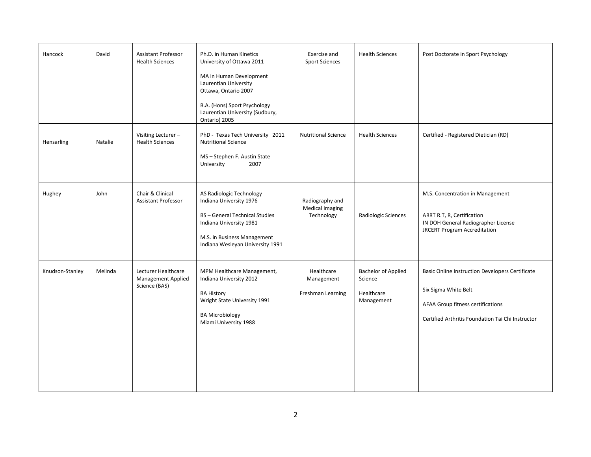| Hancock         | David   | Assistant Professor<br><b>Health Sciences</b>              | Ph.D. in Human Kinetics<br>University of Ottawa 2011<br>MA in Human Development<br>Laurentian University<br>Ottawa, Ontario 2007<br>B.A. (Hons) Sport Psychology<br>Laurentian University (Sudbury,<br>Ontario) 2005 | Exercise and<br><b>Sport Sciences</b>                   | <b>Health Sciences</b>                                            | Post Doctorate in Sport Psychology                                                                                                                                |
|-----------------|---------|------------------------------------------------------------|----------------------------------------------------------------------------------------------------------------------------------------------------------------------------------------------------------------------|---------------------------------------------------------|-------------------------------------------------------------------|-------------------------------------------------------------------------------------------------------------------------------------------------------------------|
| Hensarling      | Natalie | Visiting Lecturer-<br><b>Health Sciences</b>               | PhD - Texas Tech University 2011<br><b>Nutritional Science</b><br>MS-Stephen F. Austin State<br>2007<br>University                                                                                                   | <b>Nutritional Science</b>                              | <b>Health Sciences</b>                                            | Certified - Registered Dietician (RD)                                                                                                                             |
| Hughey          | John    | Chair & Clinical<br>Assistant Professor                    | AS Radiologic Technology<br>Indiana University 1976<br><b>BS</b> - General Technical Studies<br>Indiana University 1981<br>M.S. in Business Management<br>Indiana Wesleyan University 1991                           | Radiography and<br><b>Medical Imaging</b><br>Technology | Radiologic Sciences                                               | M.S. Concentration in Management<br>ARRT R.T, R, Certification<br>IN DOH General Radiographer License<br><b>JRCERT Program Accreditation</b>                      |
| Knudson-Stanley | Melinda | Lecturer Healthcare<br>Management Applied<br>Science (BAS) | MPM Healthcare Management,<br>Indiana University 2012<br><b>BA History</b><br>Wright State University 1991<br><b>BA Microbiology</b><br>Miami University 1988                                                        | Healthcare<br>Management<br>Freshman Learning           | <b>Bachelor of Applied</b><br>Science<br>Healthcare<br>Management | Basic Online Instruction Developers Certificate<br>Six Sigma White Belt<br>AFAA Group fitness certifications<br>Certified Arthritis Foundation Tai Chi Instructor |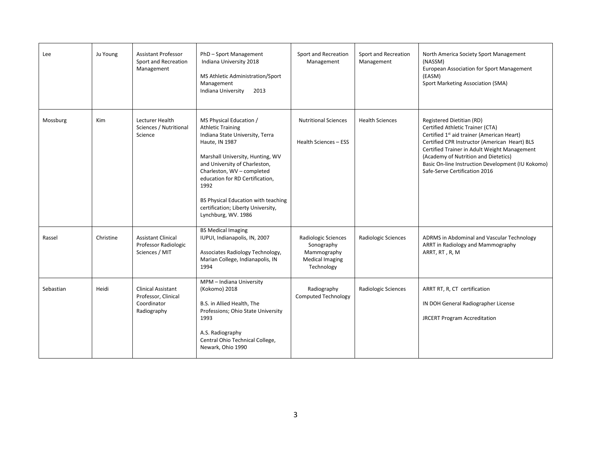| Lee       | Ju Young   | <b>Assistant Professor</b><br>Sport and Recreation<br>Management        | PhD-Sport Management<br>Indiana University 2018<br>MS Athletic Administration/Sport<br>Management<br>Indiana University<br>2013                                                                                                                                                                                                                            | Sport and Recreation<br>Management                                                       | Sport and Recreation<br>Management | North America Society Sport Management<br>(NASSM)<br>European Association for Sport Management<br>(EASM)<br>Sport Marketing Association (SMA)                                                                                                                                                                                                          |
|-----------|------------|-------------------------------------------------------------------------|------------------------------------------------------------------------------------------------------------------------------------------------------------------------------------------------------------------------------------------------------------------------------------------------------------------------------------------------------------|------------------------------------------------------------------------------------------|------------------------------------|--------------------------------------------------------------------------------------------------------------------------------------------------------------------------------------------------------------------------------------------------------------------------------------------------------------------------------------------------------|
| Mossburg  | <b>Kim</b> | Lecturer Health<br>Sciences / Nutritional<br>Science                    | MS Physical Education /<br><b>Athletic Training</b><br>Indiana State University, Terra<br>Haute, IN 1987<br>Marshall University, Hunting, WV<br>and University of Charleston,<br>Charleston, WV - completed<br>education for RD Certification,<br>1992<br>BS Physical Education with teaching<br>certification; Liberty University,<br>Lynchburg, WV. 1986 | <b>Nutritional Sciences</b><br>Health Sciences - ESS                                     | <b>Health Sciences</b>             | Registered Dietitian (RD)<br>Certified Athletic Trainer (CTA)<br>Certified 1 <sup>st</sup> aid trainer (American Heart)<br>Certified CPR Instructor (American Heart) BLS<br>Certified Trainer in Adult Weight Management<br>(Academy of Nutrition and Dietetics)<br>Basic On-line Instruction Development (IU Kokomo)<br>Safe-Serve Certification 2016 |
| Rassel    | Christine  | <b>Assistant Clinical</b><br>Professor Radiologic<br>Sciences / MIT     | <b>BS Medical Imaging</b><br>IUPUI, Indianapolis, IN, 2007<br>Associates Radiology Technology,<br>Marian College, Indianapolis, IN<br>1994                                                                                                                                                                                                                 | Radiologic Sciences<br>Sonography<br>Mammography<br><b>Medical Imaging</b><br>Technology | Radiologic Sciences                | ADRMS in Abdominal and Vascular Technology<br>ARRT in Radiology and Mammography<br>ARRT, RT, R, M                                                                                                                                                                                                                                                      |
| Sebastian | Heidi      | Clinical Assistant<br>Professor, Clinical<br>Coordinator<br>Radiography | MPM - Indiana University<br>(Kokomo) 2018<br>B.S. in Allied Health, The<br>Professions; Ohio State University<br>1993<br>A.S. Radiography<br>Central Ohio Technical College,<br>Newark, Ohio 1990                                                                                                                                                          | Radiography<br><b>Computed Technology</b>                                                | Radiologic Sciences                | ARRT RT, R, CT certification<br>IN DOH General Radiographer License<br><b>JRCERT Program Accreditation</b>                                                                                                                                                                                                                                             |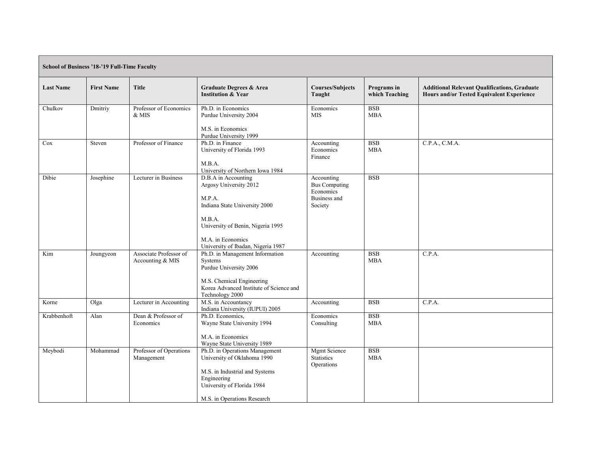| <b>School of Business '18-'19 Full-Time Faculty</b> |                   |                                            |                                                                                                                                                                                                    |                                                                            |                               |                                                                                                  |  |
|-----------------------------------------------------|-------------------|--------------------------------------------|----------------------------------------------------------------------------------------------------------------------------------------------------------------------------------------------------|----------------------------------------------------------------------------|-------------------------------|--------------------------------------------------------------------------------------------------|--|
| <b>Last Name</b>                                    | <b>First Name</b> | <b>Title</b>                               | <b>Graduate Degrees &amp; Area</b><br><b>Institution &amp; Year</b>                                                                                                                                | <b>Courses/Subjects</b><br>Taught                                          | Programs in<br>which Teaching | <b>Additional Relevant Qualifications, Graduate</b><br>Hours and/or Tested Equivalent Experience |  |
| Chulkov                                             | Dmitriy           | Professor of Economics<br>& MIS            | Ph.D. in Economics<br>Purdue University 2004<br>M.S. in Economics<br>Purdue University 1999                                                                                                        | Economics<br><b>MIS</b>                                                    | <b>BSB</b><br><b>MBA</b>      |                                                                                                  |  |
| Cox                                                 | Steven            | Professor of Finance                       | Ph.D. in Finance<br>University of Florida 1993<br>M.B.A.<br>University of Northern Iowa 1984                                                                                                       | Accounting<br>Economics<br>Finance                                         | <b>BSB</b><br><b>MBA</b>      | C.P.A., C.M.A.                                                                                   |  |
| Dibie                                               | Josephine         | Lecturer in Business                       | D.B.A in Accounting<br>Argosy University 2012<br>M.P.A.<br>Indiana State University 2000<br>M.B.A.<br>University of Benin, Nigeria 1995<br>M.A. in Economics<br>University of Ibadan, Nigeria 1987 | Accounting<br><b>Bus Computing</b><br>Economics<br>Business and<br>Society | <b>BSB</b>                    |                                                                                                  |  |
| Kim                                                 | Joungyeon         | Associate Professor of<br>Accounting & MIS | Ph.D. in Management Information<br>Systems<br>Purdue University 2006<br>M.S. Chemical Engineering<br>Korea Advanced Institute of Science and<br>Technology 2000                                    | Accounting                                                                 | <b>BSB</b><br><b>MBA</b>      | C.P.A.                                                                                           |  |
| Korne                                               | Olga              | Lecturer in Accounting                     | M.S. in Accountancy<br>Indiana University (IUPUI) 2005                                                                                                                                             | Accounting                                                                 | <b>BSB</b>                    | C.P.A.                                                                                           |  |
| Krabbenhoft                                         | Alan              | Dean & Professor of<br>Economics           | Ph.D. Economics,<br>Wayne State University 1994<br>M.A. in Economics<br>Wayne State University 1989                                                                                                | Economics<br>Consulting                                                    | <b>BSB</b><br><b>MBA</b>      |                                                                                                  |  |
| Meybodi                                             | Mohammad          | Professor of Operations<br>Management      | Ph.D. in Operations Management<br>University of Oklahoma 1990<br>M.S. in Industrial and Systems<br>Engineering<br>University of Florida 1984<br>M.S. in Operations Research                        | <b>Mgmt Science</b><br><b>Statistics</b><br>Operations                     | <b>BSB</b><br><b>MBA</b>      |                                                                                                  |  |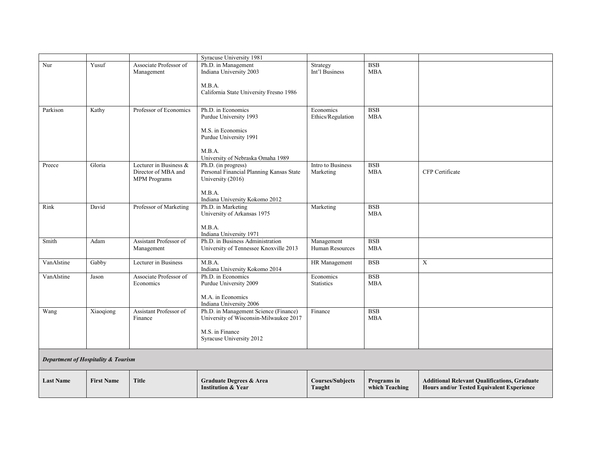|                                                |                   |                        | <b>Syracuse University 1981</b>          |                         |                |                                                     |
|------------------------------------------------|-------------------|------------------------|------------------------------------------|-------------------------|----------------|-----------------------------------------------------|
| Nur                                            | Yusuf             | Associate Professor of | Ph.D. in Management                      | Strategy                | <b>BSB</b>     |                                                     |
|                                                |                   | Management             | Indiana University 2003                  | Int'l Business          | <b>MBA</b>     |                                                     |
|                                                |                   |                        |                                          |                         |                |                                                     |
|                                                |                   |                        | M.B.A.                                   |                         |                |                                                     |
|                                                |                   |                        | California State University Fresno 1986  |                         |                |                                                     |
|                                                |                   |                        |                                          |                         |                |                                                     |
| Parkison                                       | Kathy             | Professor of Economics | Ph.D. in Economics                       | Economics               | <b>BSB</b>     |                                                     |
|                                                |                   |                        | Purdue University 1993                   | Ethics/Regulation       | <b>MBA</b>     |                                                     |
|                                                |                   |                        |                                          |                         |                |                                                     |
|                                                |                   |                        | M.S. in Economics                        |                         |                |                                                     |
|                                                |                   |                        | Purdue University 1991                   |                         |                |                                                     |
|                                                |                   |                        |                                          |                         |                |                                                     |
|                                                |                   |                        | M.B.A.                                   |                         |                |                                                     |
|                                                |                   |                        | University of Nebraska Omaha 1989        |                         |                |                                                     |
| Preece                                         | Gloria            | Lecturer in Business & | Ph.D. (in progress)                      | Intro to Business       | $_{\rm BSB}$   |                                                     |
|                                                |                   | Director of MBA and    | Personal Financial Planning Kansas State | Marketing               | <b>MBA</b>     | CFP Certificate                                     |
|                                                |                   | <b>MPM</b> Programs    | University (2016)                        |                         |                |                                                     |
|                                                |                   |                        | M.B.A.                                   |                         |                |                                                     |
|                                                |                   |                        | Indiana University Kokomo 2012           |                         |                |                                                     |
| Rink                                           | David             | Professor of Marketing | Ph.D. in Marketing                       | Marketing               | <b>BSB</b>     |                                                     |
|                                                |                   |                        | University of Arkansas 1975              |                         | <b>MBA</b>     |                                                     |
|                                                |                   |                        |                                          |                         |                |                                                     |
|                                                |                   |                        | M.B.A.                                   |                         |                |                                                     |
|                                                |                   |                        | Indiana University 1971                  |                         |                |                                                     |
| Smith                                          | Adam              | Assistant Professor of | Ph.D. in Business Administration         | Management              | <b>BSB</b>     |                                                     |
|                                                |                   | Management             | University of Tennessee Knoxville 2013   | Human Resources         | <b>MBA</b>     |                                                     |
| VanAlstine                                     | Gabby             | Lecturer in Business   | M.B.A.                                   | HR Management           | <b>BSB</b>     | X                                                   |
|                                                |                   |                        | Indiana University Kokomo 2014           |                         |                |                                                     |
| VanAlstine                                     | Jason             | Associate Professor of | Ph.D. in Economics                       | Economics               | <b>BSB</b>     |                                                     |
|                                                |                   | Economics              | Purdue University 2009                   | <b>Statistics</b>       | <b>MBA</b>     |                                                     |
|                                                |                   |                        |                                          |                         |                |                                                     |
|                                                |                   |                        | M.A. in Economics                        |                         |                |                                                     |
|                                                |                   |                        | Indiana University 2006                  |                         |                |                                                     |
| Wang                                           | Xiaoqiong         | Assistant Professor of | Ph.D. in Management Science (Finance)    | Finance                 | <b>BSB</b>     |                                                     |
|                                                |                   | Finance                | University of Wisconsin-Milwaukee 2017   |                         | <b>MBA</b>     |                                                     |
|                                                |                   |                        | M.S. in Finance                          |                         |                |                                                     |
|                                                |                   |                        | Syracuse University 2012                 |                         |                |                                                     |
|                                                |                   |                        |                                          |                         |                |                                                     |
|                                                |                   |                        |                                          |                         |                |                                                     |
| <b>Department of Hospitality &amp; Tourism</b> |                   |                        |                                          |                         |                |                                                     |
| <b>Last Name</b>                               | <b>First Name</b> | <b>Title</b>           | <b>Graduate Degrees &amp; Area</b>       | <b>Courses/Subjects</b> | Programs in    | <b>Additional Relevant Qualifications, Graduate</b> |
|                                                |                   |                        | <b>Institution &amp; Year</b>            | Taught                  | which Teaching | Hours and/or Tested Equivalent Experience           |
|                                                |                   |                        |                                          |                         |                |                                                     |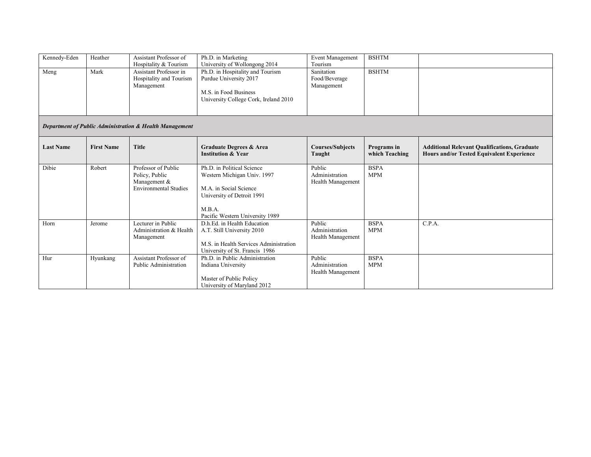| Kennedy-Eden                                            | Heather           | Assistant Professor of<br>Hospitality & Tourism                 | Ph.D. in Marketing<br>University of Wollongong 2014                                                                          | Event Management<br>Tourism               | <b>BSHTM</b>                  |                                                                                                         |  |  |  |
|---------------------------------------------------------|-------------------|-----------------------------------------------------------------|------------------------------------------------------------------------------------------------------------------------------|-------------------------------------------|-------------------------------|---------------------------------------------------------------------------------------------------------|--|--|--|
| Meng                                                    | Mark              | Assistant Professor in<br>Hospitality and Tourism<br>Management | Ph.D. in Hospitality and Tourism<br>Purdue University 2017<br>M.S. in Food Business<br>University College Cork, Ireland 2010 | Sanitation<br>Food/Beverage<br>Management | <b>BSHTM</b>                  |                                                                                                         |  |  |  |
| Department of Public Administration & Health Management |                   |                                                                 |                                                                                                                              |                                           |                               |                                                                                                         |  |  |  |
|                                                         |                   |                                                                 |                                                                                                                              |                                           |                               |                                                                                                         |  |  |  |
| <b>Last Name</b>                                        | <b>First Name</b> | <b>Title</b>                                                    | Graduate Degrees & Area<br><b>Institution &amp; Year</b>                                                                     | <b>Courses/Subjects</b><br>Taught         | Programs in<br>which Teaching | <b>Additional Relevant Qualifications, Graduate</b><br><b>Hours and/or Tested Equivalent Experience</b> |  |  |  |

Public Administration Health Management

Public Administration Health Management

BSPA MPM

BSPA MPM

C.P.A.

Pacific Western University 1989

M.S. in Health Services Administration University of St. Francis 1986

D.h.Ed. in Health Education A.T. Still University 2010

Ph.D. in Public Administration

Indiana University

Master of Public Policy University of Maryland 2012

Horn Jerome Lecturer in Public

Hur Hyunkang Assistant Professor of

Administration & Health Management

Public Administration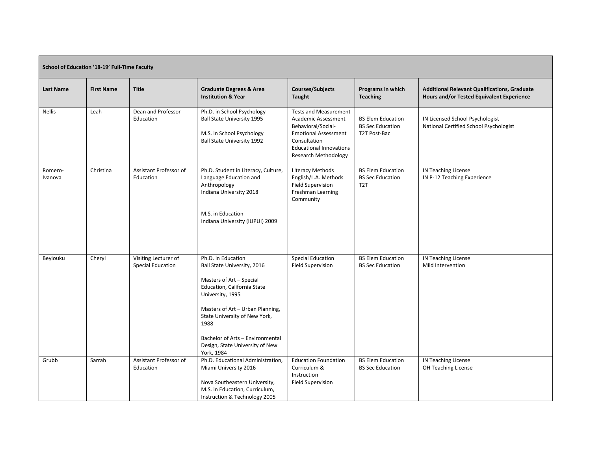| School of Education '18-19' Full-Time Faculty |                   |                                                  |                                                                                                                                                                                                                                                                                                    |                                                                                                                                                                                           |                                                                     |                                                                                                  |  |  |
|-----------------------------------------------|-------------------|--------------------------------------------------|----------------------------------------------------------------------------------------------------------------------------------------------------------------------------------------------------------------------------------------------------------------------------------------------------|-------------------------------------------------------------------------------------------------------------------------------------------------------------------------------------------|---------------------------------------------------------------------|--------------------------------------------------------------------------------------------------|--|--|
| <b>Last Name</b>                              | <b>First Name</b> | <b>Title</b>                                     | <b>Graduate Degrees &amp; Area</b><br><b>Institution &amp; Year</b>                                                                                                                                                                                                                                | <b>Courses/Subjects</b><br>Taught                                                                                                                                                         | Programs in which<br><b>Teaching</b>                                | <b>Additional Relevant Qualifications, Graduate</b><br>Hours and/or Tested Equivalent Experience |  |  |
| <b>Nellis</b>                                 | Leah              | Dean and Professor<br>Education                  | Ph.D. in School Psychology<br><b>Ball State University 1995</b><br>M.S. in School Psychology<br><b>Ball State University 1992</b>                                                                                                                                                                  | <b>Tests and Measurement</b><br>Academic Assessment<br>Behavioral/Social-<br><b>Emotional Assessment</b><br>Consultation<br><b>Educational Innovations</b><br><b>Research Methodology</b> | <b>BS Elem Education</b><br><b>BS Sec Education</b><br>T2T Post-Bac | IN Licensed School Psychologist<br>National Certified School Psychologist                        |  |  |
| Romero-<br>Ivanova                            | Christina         | Assistant Professor of<br>Education              | Ph.D. Student in Literacy, Culture,<br>Language Education and<br>Anthropology<br>Indiana University 2018<br>M.S. in Education<br>Indiana University (IUPUI) 2009                                                                                                                                   | Literacy Methods<br>English/L.A. Methods<br><b>Field Supervision</b><br>Freshman Learning<br>Community                                                                                    | <b>BS Elem Education</b><br><b>BS Sec Education</b><br>T2T          | IN Teaching License<br>IN P-12 Teaching Experience                                               |  |  |
| Beyiouku                                      | Cheryl            | Visiting Lecturer of<br><b>Special Education</b> | Ph.D. in Education<br>Ball State University, 2016<br>Masters of Art - Special<br>Education, California State<br>University, 1995<br>Masters of Art - Urban Planning,<br>State University of New York,<br>1988<br>Bachelor of Arts - Environmental<br>Design, State University of New<br>York, 1984 | <b>Special Education</b><br><b>Field Supervision</b>                                                                                                                                      | <b>BS Elem Education</b><br><b>BS Sec Education</b>                 | IN Teaching License<br>Mild Intervention                                                         |  |  |
| Grubb                                         | Sarrah            | Assistant Professor of<br>Education              | Ph.D. Educational Administration,<br>Miami University 2016<br>Nova Southeastern University,<br>M.S. in Education, Curriculum,<br>Instruction & Technology 2005                                                                                                                                     | <b>Education Foundation</b><br>Curriculum &<br>Instruction<br><b>Field Supervision</b>                                                                                                    | <b>BS Elem Education</b><br><b>BS Sec Education</b>                 | <b>IN Teaching License</b><br>OH Teaching License                                                |  |  |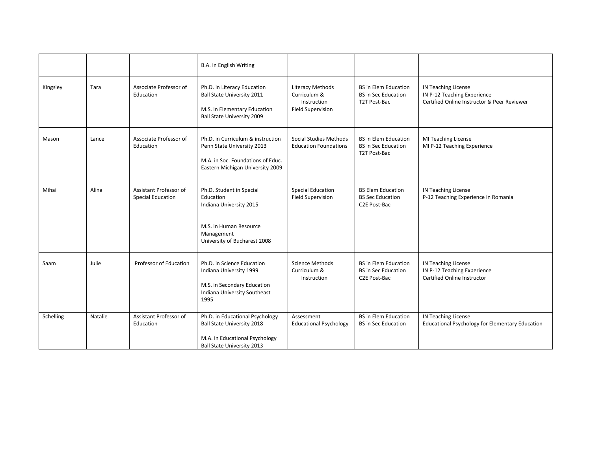|           |         |                                                    | <b>B.A.</b> in English Writing                                                                                                              |                                                                                    |                                                                           |                                                                                                   |
|-----------|---------|----------------------------------------------------|---------------------------------------------------------------------------------------------------------------------------------------------|------------------------------------------------------------------------------------|---------------------------------------------------------------------------|---------------------------------------------------------------------------------------------------|
| Kingsley  | Tara    | Associate Professor of<br>Education                | Ph.D. in Literacy Education<br><b>Ball State University 2011</b><br>M.S. in Elementary Education<br>Ball State University 2009              | <b>Literacy Methods</b><br>Curriculum &<br>Instruction<br><b>Field Supervision</b> | <b>BS</b> in Elem Education<br><b>BS</b> in Sec Education<br>T2T Post-Bac | IN Teaching License<br>IN P-12 Teaching Experience<br>Certified Online Instructor & Peer Reviewer |
| Mason     | Lance   | Associate Professor of<br>Education                | Ph.D. in Curriculum & instruction<br>Penn State University 2013<br>M.A. in Soc. Foundations of Educ.<br>Eastern Michigan University 2009    | Social Studies Methods<br><b>Education Foundations</b>                             | <b>BS</b> in Elem Education<br><b>BS</b> in Sec Education<br>T2T Post-Bac | MI Teaching License<br>MI P-12 Teaching Experience                                                |
| Mihai     | Alina   | Assistant Professor of<br><b>Special Education</b> | Ph.D. Student in Special<br>Education<br>Indiana University 2015<br>M.S. in Human Resource<br>Management<br>University of Bucharest 2008    | <b>Special Education</b><br><b>Field Supervision</b>                               | <b>BS Elem Education</b><br><b>BS Sec Education</b><br>C2E Post-Bac       | IN Teaching License<br>P-12 Teaching Experience in Romania                                        |
| Saam      | Julie   | Professor of Education                             | Ph.D. in Science Education<br>Indiana University 1999<br>M.S. in Secondary Education<br>Indiana University Southeast<br>1995                | <b>Science Methods</b><br>Curriculum &<br>Instruction                              | <b>BS</b> in Elem Education<br><b>BS</b> in Sec Education<br>C2E Post-Bac | IN Teaching License<br>IN P-12 Teaching Experience<br>Certified Online Instructor                 |
| Schelling | Natalie | Assistant Professor of<br>Education                | Ph.D. in Educational Psychology<br><b>Ball State University 2018</b><br>M.A. in Educational Psychology<br><b>Ball State University 2013</b> | Assessment<br><b>Educational Psychology</b>                                        | <b>BS in Elem Education</b><br><b>BS in Sec Education</b>                 | IN Teaching License<br>Educational Psychology for Elementary Education                            |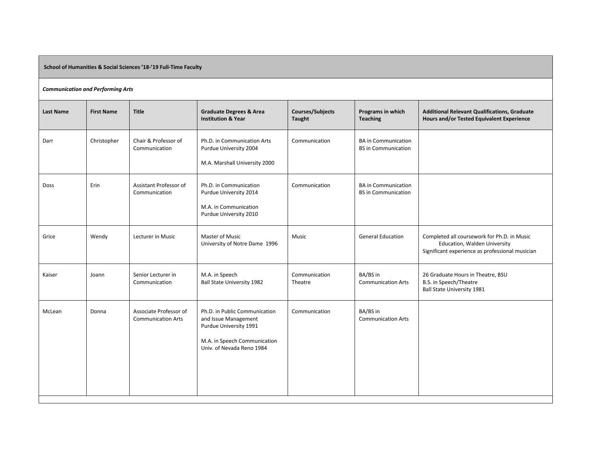**School of Humanities & Social Sciences '18-'19 Full-Time Faculty**

## *Communication and Performing Arts*

| <b>Last Name</b> | <b>First Name</b> | <b>Title</b>                                        | <b>Graduate Degrees &amp; Area</b><br><b>Institution &amp; Year</b>                                                                          | <b>Courses/Subjects</b><br>Taught | Programs in which<br><b>Teaching</b>                     | <b>Additional Relevant Qualifications, Graduate</b><br>Hours and/or Tested Equivalent Experience                               |
|------------------|-------------------|-----------------------------------------------------|----------------------------------------------------------------------------------------------------------------------------------------------|-----------------------------------|----------------------------------------------------------|--------------------------------------------------------------------------------------------------------------------------------|
| Darr             | Christopher       | Chair & Professor of<br>Communication               | Ph.D. in Communication Arts<br>Purdue University 2004<br>M.A. Marshall University 2000                                                       | Communication                     | <b>BA</b> in Communication<br><b>BS</b> in Communication |                                                                                                                                |
| Doss             | Erin              | Assistant Professor of<br>Communication             | Ph.D. in Communication<br>Purdue University 2014<br>M.A. in Communication<br>Purdue University 2010                                          | Communication                     | <b>BA</b> in Communication<br><b>BS</b> in Communication |                                                                                                                                |
| Grice            | Wendy             | Lecturer in Music                                   | <b>Master of Music</b><br>University of Notre Dame 1996                                                                                      | Music                             | <b>General Education</b>                                 | Completed all coursework for Ph.D. in Music<br>Education, Walden University<br>Significant experience as professional musician |
| Kaiser           | Joann             | Senior Lecturer in<br>Communication                 | M.A. in Speech<br><b>Ball State University 1982</b>                                                                                          | Communication<br>Theatre          | BA/BS in<br><b>Communication Arts</b>                    | 26 Graduate Hours in Theatre, BSU<br>B.S. in Speech/Theatre<br><b>Ball State University 1981</b>                               |
| McLean           | Donna             | Associate Professor of<br><b>Communication Arts</b> | Ph.D. in Public Communication<br>and Issue Management<br>Purdue University 1991<br>M.A. in Speech Communication<br>Univ. of Nevada Reno 1984 | Communication                     | BA/BS in<br><b>Communication Arts</b>                    |                                                                                                                                |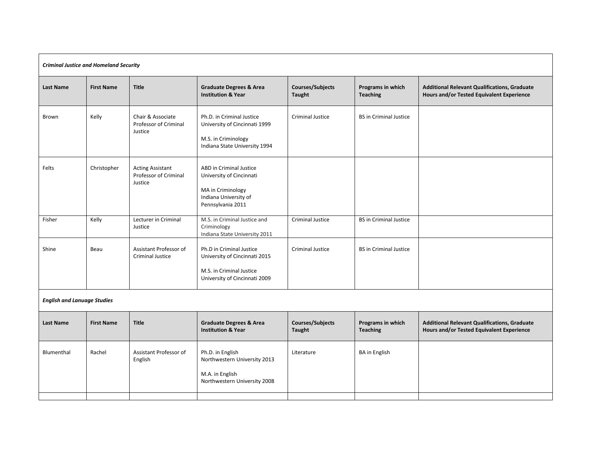| <b>Criminal Justice and Homeland Security</b> |                   |                                                             |                                                                                                                        |                                   |                                      |                                                                                                  |  |  |
|-----------------------------------------------|-------------------|-------------------------------------------------------------|------------------------------------------------------------------------------------------------------------------------|-----------------------------------|--------------------------------------|--------------------------------------------------------------------------------------------------|--|--|
| <b>Last Name</b>                              | <b>First Name</b> | <b>Title</b>                                                | <b>Graduate Degrees &amp; Area</b><br><b>Institution &amp; Year</b>                                                    | <b>Courses/Subjects</b><br>Taught | Programs in which<br><b>Teaching</b> | <b>Additional Relevant Qualifications, Graduate</b><br>Hours and/or Tested Equivalent Experience |  |  |
| Brown                                         | Kelly             | Chair & Associate<br>Professor of Criminal<br>Justice       | Ph.D. in Criminal Justice<br>University of Cincinnati 1999<br>M.S. in Criminology<br>Indiana State University 1994     | <b>Criminal Justice</b>           | <b>BS</b> in Criminal Justice        |                                                                                                  |  |  |
| Felts                                         | Christopher       | <b>Acting Assistant</b><br>Professor of Criminal<br>Justice | ABD in Criminal Justice<br>University of Cincinnati<br>MA in Criminology<br>Indiana University of<br>Pennsylvania 2011 |                                   |                                      |                                                                                                  |  |  |
| Fisher                                        | Kelly             | Lecturer in Criminal<br>Justice                             | M.S. in Criminal Justice and<br>Criminology<br>Indiana State University 2011                                           | <b>Criminal Justice</b>           | <b>BS</b> in Criminal Justice        |                                                                                                  |  |  |
| Shine                                         | Beau              | Assistant Professor of<br><b>Criminal Justice</b>           | Ph.D in Criminal Justice<br>University of Cincinnati 2015<br>M.S. in Criminal Justice<br>University of Cincinnati 2009 | Criminal Justice                  | <b>BS</b> in Criminal Justice        |                                                                                                  |  |  |
| <b>English and Lanuage Studies</b>            |                   |                                                             |                                                                                                                        |                                   |                                      |                                                                                                  |  |  |
| <b>Last Name</b>                              | <b>First Name</b> | <b>Title</b>                                                | <b>Graduate Degrees &amp; Area</b><br><b>Institution &amp; Year</b>                                                    | Courses/Subjects<br><b>Taught</b> | Programs in which<br><b>Teaching</b> | Additional Relevant Qualifications, Graduate<br>Hours and/or Tested Equivalent Experience        |  |  |
| Blumenthal                                    | Rachel            | Assistant Professor of<br>English                           | Ph.D. in English<br>Northwestern University 2013<br>M.A. in English<br>Northwestern University 2008                    | Literature                        | <b>BA</b> in English                 |                                                                                                  |  |  |
|                                               |                   |                                                             |                                                                                                                        |                                   |                                      |                                                                                                  |  |  |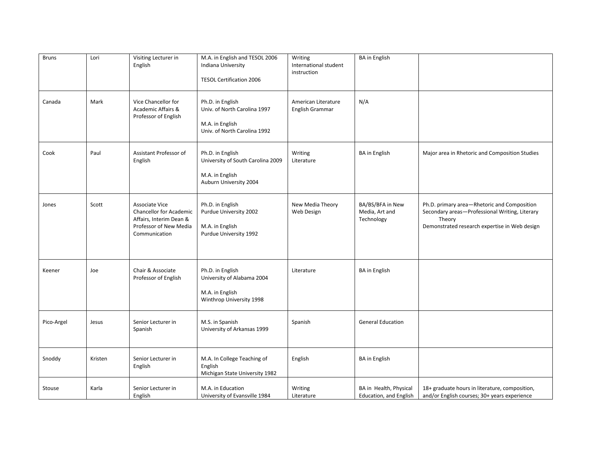| <b>Bruns</b> | Lori    | Visiting Lecturer in<br>English                                                                                        | M.A. in English and TESOL 2006<br>Indiana University<br><b>TESOL Certification 2006</b>             | Writing<br>International student<br>instruction | <b>BA</b> in English                             |                                                                                                                                                          |
|--------------|---------|------------------------------------------------------------------------------------------------------------------------|-----------------------------------------------------------------------------------------------------|-------------------------------------------------|--------------------------------------------------|----------------------------------------------------------------------------------------------------------------------------------------------------------|
| Canada       | Mark    | Vice Chancellor for<br>Academic Affairs &<br>Professor of English                                                      | Ph.D. in English<br>Univ. of North Carolina 1997<br>M.A. in English<br>Univ. of North Carolina 1992 | American Literature<br>English Grammar          | N/A                                              |                                                                                                                                                          |
| Cook         | Paul    | Assistant Professor of<br>English                                                                                      | Ph.D. in English<br>University of South Carolina 2009<br>M.A. in English<br>Auburn University 2004  | Writing<br>Literature                           | <b>BA</b> in English                             | Major area in Rhetoric and Composition Studies                                                                                                           |
| Jones        | Scott   | Associate Vice<br><b>Chancellor for Academic</b><br>Affairs, Interim Dean &<br>Professor of New Media<br>Communication | Ph.D. in English<br>Purdue University 2002<br>M.A. in English<br>Purdue University 1992             | New Media Theory<br>Web Design                  | BA/BS/BFA in New<br>Media, Art and<br>Technology | Ph.D. primary area-Rhetoric and Composition<br>Secondary areas-Professional Writing, Literary<br>Theory<br>Demonstrated research expertise in Web design |
| Keener       | Joe     | Chair & Associate<br>Professor of English                                                                              | Ph.D. in English<br>University of Alabama 2004<br>M.A. in English<br>Winthrop University 1998       | Literature                                      | <b>BA</b> in English                             |                                                                                                                                                          |
| Pico-Argel   | Jesus   | Senior Lecturer in<br>Spanish                                                                                          | M.S. in Spanish<br>University of Arkansas 1999                                                      | Spanish                                         | <b>General Education</b>                         |                                                                                                                                                          |
| Snoddy       | Kristen | Senior Lecturer in<br>English                                                                                          | M.A. In College Teaching of<br>English<br>Michigan State University 1982                            | English                                         | <b>BA</b> in English                             |                                                                                                                                                          |
| Stouse       | Karla   | Senior Lecturer in<br>English                                                                                          | M.A. in Education<br>University of Evansville 1984                                                  | Writing<br>Literature                           | BA in Health, Physical<br>Education, and English | 18+ graduate hours in literature, composition,<br>and/or English courses; 30+ years experience                                                           |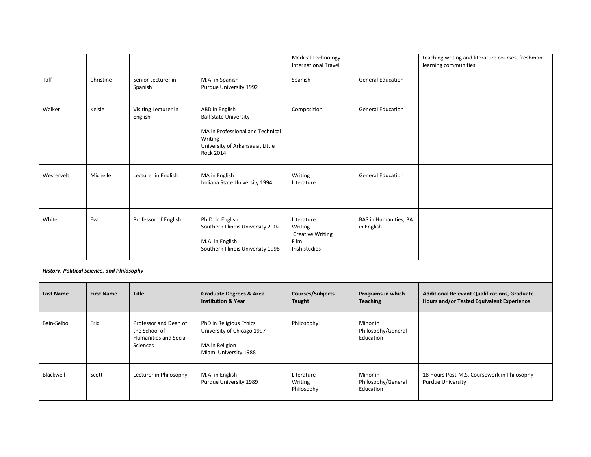|            |                                            |                                 |                                                                                                                                                       | <b>Medical Technology</b><br><b>International Travel</b>                  |                                     | teaching writing and literature courses, freshman<br>learning communities |  |  |  |
|------------|--------------------------------------------|---------------------------------|-------------------------------------------------------------------------------------------------------------------------------------------------------|---------------------------------------------------------------------------|-------------------------------------|---------------------------------------------------------------------------|--|--|--|
| Taff       | Christine                                  | Senior Lecturer in<br>Spanish   | M.A. in Spanish<br>Purdue University 1992                                                                                                             | Spanish                                                                   | <b>General Education</b>            |                                                                           |  |  |  |
| Walker     | Kelsie                                     | Visiting Lecturer in<br>English | ABD in English<br><b>Ball State University</b><br>MA in Professional and Technical<br>Writing<br>University of Arkansas at Little<br><b>Rock 2014</b> | Composition                                                               | <b>General Education</b>            |                                                                           |  |  |  |
| Westervelt | Michelle                                   | Lecturer in English             | MA in English<br>Indiana State University 1994                                                                                                        | Writing<br>Literature                                                     | <b>General Education</b>            |                                                                           |  |  |  |
| White      | Eva                                        | Professor of English            | Ph.D. in English<br>Southern Illinois University 2002<br>M.A. in English<br>Southern Illinois University 1998                                         | Literature<br>Writing<br><b>Creative Writing</b><br>Film<br>Irish studies | BAS in Humanities, BA<br>in English |                                                                           |  |  |  |
|            | History, Political Science, and Philosophy |                                 |                                                                                                                                                       |                                                                           |                                     |                                                                           |  |  |  |

| <b>Last Name</b> | <b>First Name</b> | <b>Title</b>                                                                | <b>Graduate Degrees &amp; Area</b><br><b>Institution &amp; Year</b>                              | <b>Courses/Subjects</b><br>Taught   | Programs in which<br><b>Teaching</b>        | <b>Additional Relevant Qualifications, Graduate</b><br>Hours and/or Tested Equivalent Experience |
|------------------|-------------------|-----------------------------------------------------------------------------|--------------------------------------------------------------------------------------------------|-------------------------------------|---------------------------------------------|--------------------------------------------------------------------------------------------------|
| Bain-Selbo       | Eric              | Professor and Dean of<br>the School of<br>Humanities and Social<br>Sciences | PhD in Religious Ethics<br>University of Chicago 1997<br>MA in Religion<br>Miami University 1988 | Philosophy                          | Minor in<br>Philosophy/General<br>Education |                                                                                                  |
| Blackwell        | Scott             | Lecturer in Philosophy                                                      | M.A. in English<br>Purdue University 1989                                                        | Literature<br>Writing<br>Philosophy | Minor in<br>Philosophy/General<br>Education | 18 Hours Post-M.S. Coursework in Philosophy<br>Purdue University                                 |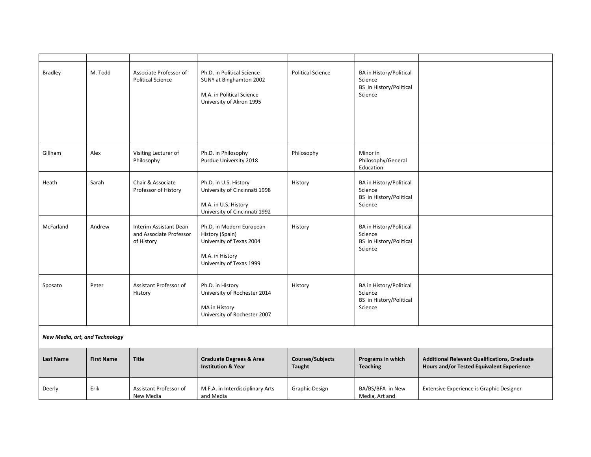| <b>Bradley</b>                 | M. Todd           | Associate Professor of<br><b>Political Science</b>              | Ph.D. in Political Science<br>SUNY at Binghamton 2002<br>M.A. in Political Science<br>University of Akron 1995         | <b>Political Science</b>   | BA in History/Political<br>Science<br>BS in History/Political<br>Science        |                                                                                                  |  |  |
|--------------------------------|-------------------|-----------------------------------------------------------------|------------------------------------------------------------------------------------------------------------------------|----------------------------|---------------------------------------------------------------------------------|--------------------------------------------------------------------------------------------------|--|--|
| Gillham                        | Alex              | Visiting Lecturer of<br>Philosophy                              | Ph.D. in Philosophy<br>Purdue University 2018                                                                          | Philosophy                 | Minor in<br>Philosophy/General<br>Education                                     |                                                                                                  |  |  |
| Heath                          | Sarah             | Chair & Associate<br>Professor of History                       | Ph.D. in U.S. History<br>University of Cincinnati 1998<br>M.A. in U.S. History<br>University of Cincinnati 1992        | History                    | <b>BA</b> in History/Political<br>Science<br>BS in History/Political<br>Science |                                                                                                  |  |  |
| McFarland                      | Andrew            | Interim Assistant Dean<br>and Associate Professor<br>of History | Ph.D. in Modern European<br>History (Spain)<br>University of Texas 2004<br>M.A. in History<br>University of Texas 1999 | History                    | <b>BA</b> in History/Political<br>Science<br>BS in History/Political<br>Science |                                                                                                  |  |  |
| Sposato                        | Peter             | Assistant Professor of<br>History                               | Ph.D. in History<br>University of Rochester 2014<br>MA in History<br>University of Rochester 2007                      | History                    | BA in History/Political<br>Science<br>BS in History/Political<br>Science        |                                                                                                  |  |  |
| New Media, art, and Technology |                   |                                                                 |                                                                                                                        |                            |                                                                                 |                                                                                                  |  |  |
| <b>Last Name</b>               | <b>First Name</b> | <b>Title</b>                                                    | <b>Graduate Degrees &amp; Area</b><br><b>Institution &amp; Year</b>                                                    | Courses/Subjects<br>Taught | Programs in which<br><b>Teaching</b>                                            | <b>Additional Relevant Qualifications, Graduate</b><br>Hours and/or Tested Equivalent Experience |  |  |
| Deerly                         | Erik              | Assistant Professor of<br>New Media                             | M.F.A. in Interdisciplinary Arts<br>and Media                                                                          | <b>Graphic Design</b>      | BA/BS/BFA in New<br>Media, Art and                                              | Extensive Experience is Graphic Designer                                                         |  |  |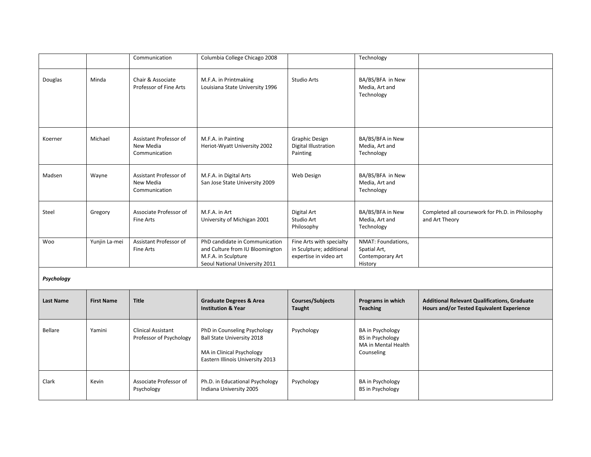|                  |                   | Communication                                        | Columbia College Chicago 2008                                                                                                      |                                                                                | Technology                                                                              |                                                                                                  |
|------------------|-------------------|------------------------------------------------------|------------------------------------------------------------------------------------------------------------------------------------|--------------------------------------------------------------------------------|-----------------------------------------------------------------------------------------|--------------------------------------------------------------------------------------------------|
| Douglas          | Minda             | Chair & Associate<br>Professor of Fine Arts          | M.F.A. in Printmaking<br>Louisiana State University 1996                                                                           | <b>Studio Arts</b>                                                             | BA/BS/BFA in New<br>Media, Art and<br>Technology                                        |                                                                                                  |
| Koerner          | Michael           | Assistant Professor of<br>New Media<br>Communication | M.F.A. in Painting<br>Heriot-Wyatt University 2002                                                                                 | <b>Graphic Design</b><br>Digital Illustration<br>Painting                      | BA/BS/BFA in New<br>Media, Art and<br>Technology                                        |                                                                                                  |
| Madsen           | Wayne             | Assistant Professor of<br>New Media<br>Communication | M.F.A. in Digital Arts<br>San Jose State University 2009                                                                           | Web Design                                                                     | BA/BS/BFA in New<br>Media, Art and<br>Technology                                        |                                                                                                  |
| Steel            | Gregory           | Associate Professor of<br><b>Fine Arts</b>           | M.F.A. in Art<br>University of Michigan 2001                                                                                       | Digital Art<br>Studio Art<br>Philosophy                                        | BA/BS/BFA in New<br>Media, Art and<br>Technology                                        | Completed all coursework for Ph.D. in Philosophy<br>and Art Theory                               |
| Woo              | Yunjin La-mei     | Assistant Professor of<br><b>Fine Arts</b>           | PhD candidate in Communication<br>and Culture from IU Bloomington<br>M.F.A. in Sculpture<br>Seoul National University 2011         | Fine Arts with specialty<br>in Sculpture; additional<br>expertise in video art | NMAT: Foundations,<br>Spatial Art,<br>Contemporary Art<br>History                       |                                                                                                  |
| Psychology       |                   |                                                      |                                                                                                                                    |                                                                                |                                                                                         |                                                                                                  |
| <b>Last Name</b> | <b>First Name</b> | <b>Title</b>                                         | <b>Graduate Degrees &amp; Area</b><br><b>Institution &amp; Year</b>                                                                | <b>Courses/Subjects</b><br>Taught                                              | Programs in which<br><b>Teaching</b>                                                    | <b>Additional Relevant Qualifications, Graduate</b><br>Hours and/or Tested Equivalent Experience |
| Bellare          | Yamini            | <b>Clinical Assistant</b><br>Professor of Psychology | PhD in Counseling Psychology<br><b>Ball State University 2018</b><br>MA in Clinical Psychology<br>Eastern Illinois University 2013 | Psychology                                                                     | <b>BA</b> in Psychology<br><b>BS</b> in Psychology<br>MA in Mental Health<br>Counseling |                                                                                                  |
| Clark            | Kevin             | Associate Professor of<br>Psychology                 | Ph.D. in Educational Psychology<br>Indiana University 2005                                                                         | Psychology                                                                     | <b>BA</b> in Psychology<br><b>BS</b> in Psychology                                      |                                                                                                  |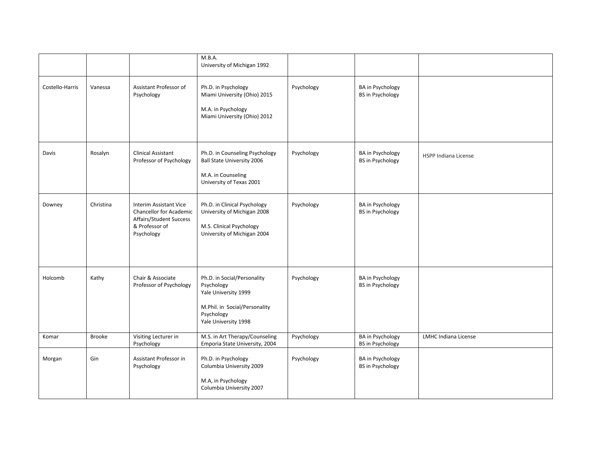|                 |               |                                                                                                                     | M.B.A.                                                                                                                                   |            |                                                    |                             |
|-----------------|---------------|---------------------------------------------------------------------------------------------------------------------|------------------------------------------------------------------------------------------------------------------------------------------|------------|----------------------------------------------------|-----------------------------|
|                 |               |                                                                                                                     | University of Michigan 1992                                                                                                              |            |                                                    |                             |
| Costello-Harris | Vanessa       | Assistant Professor of<br>Psychology                                                                                | Ph.D. in Psychology<br>Miami University (Ohio) 2015<br>M.A. in Psychology<br>Miami University (Ohio) 2012                                | Psychology | <b>BA</b> in Psychology<br><b>BS</b> in Psychology |                             |
| Davis           | Rosalyn       | Clinical Assistant<br>Professor of Psychology                                                                       | Ph.D. in Counseling Psychology<br><b>Ball State University 2006</b><br>M.A. in Counseling<br>University of Texas 2001                    | Psychology | <b>BA</b> in Psychology<br><b>BS in Psychology</b> | <b>HSPP Indiana License</b> |
| Downey          | Christina     | Interim Assistant Vice<br><b>Chancellor for Academic</b><br>Affairs/Student Success<br>& Professor of<br>Psychology | Ph.D. in Clinical Psychology<br>University of Michigan 2008<br>M.S. Clinical Psychology<br>University of Michigan 2004                   | Psychology | <b>BA</b> in Psychology<br><b>BS in Psychology</b> |                             |
| Holcomb         | Kathy         | Chair & Associate<br>Professor of Psychology                                                                        | Ph.D. in Social/Personality<br>Psychology<br>Yale University 1999<br>M.Phil. in Social/Personality<br>Psychology<br>Yale University 1998 | Psychology | <b>BA</b> in Psychology<br><b>BS in Psychology</b> |                             |
| Komar           | <b>Brooke</b> | Visiting Lecturer in<br>Psychology                                                                                  | M.S. in Art Therapy/Counseling<br>Emporia State University, 2004                                                                         | Psychology | <b>BA</b> in Psychology<br><b>BS</b> in Psychology | LMHC Indiana License        |
| Morgan          | Gin           | Assistant Professor in<br>Psychology                                                                                | Ph.D. in Psychology<br>Columbia University 2009<br>M.A, in Psychology<br>Columbia University 2007                                        | Psychology | <b>BA</b> in Psychology<br><b>BS</b> in Psychology |                             |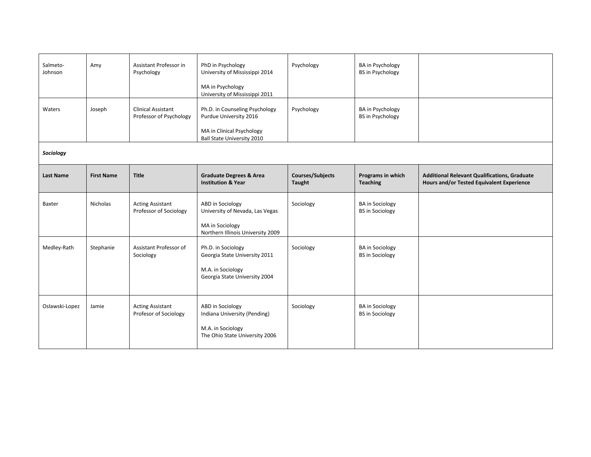| Salmeto-<br>Johnson | Amy               | Assistant Professor in<br>Psychology                 | PhD in Psychology<br>University of Mississippi 2014<br>MA in Psychology<br>University of Mississippi 2011                  | Psychology                               | <b>BA</b> in Psychology<br><b>BS</b> in Psychology |                                                                                                  |  |  |
|---------------------|-------------------|------------------------------------------------------|----------------------------------------------------------------------------------------------------------------------------|------------------------------------------|----------------------------------------------------|--------------------------------------------------------------------------------------------------|--|--|
| Waters              | Joseph            | <b>Clinical Assistant</b><br>Professor of Psychology | Ph.D. in Counseling Psychology<br>Purdue University 2016<br>MA in Clinical Psychology<br><b>Ball State University 2010</b> | Psychology                               | <b>BA</b> in Psychology<br><b>BS</b> in Psychology |                                                                                                  |  |  |
| Sociology           |                   |                                                      |                                                                                                                            |                                          |                                                    |                                                                                                  |  |  |
| <b>Last Name</b>    | <b>First Name</b> | <b>Title</b>                                         | <b>Graduate Degrees &amp; Area</b><br><b>Institution &amp; Year</b>                                                        | <b>Courses/Subjects</b><br><b>Taught</b> | Programs in which<br><b>Teaching</b>               | <b>Additional Relevant Qualifications, Graduate</b><br>Hours and/or Tested Equivalent Experience |  |  |
| Baxter              | <b>Nicholas</b>   | <b>Acting Assistant</b><br>Professor of Sociology    | ABD in Sociology<br>University of Nevada, Las Vegas<br>MA in Sociology<br>Northern Illinois University 2009                | Sociology                                | <b>BA</b> in Sociology<br><b>BS</b> in Sociology   |                                                                                                  |  |  |
| Medley-Rath         | Stephanie         | Assistant Professor of<br>Sociology                  | Ph.D. in Sociology<br>Georgia State University 2011<br>M.A. in Sociology<br>Georgia State University 2004                  | Sociology                                | <b>BA</b> in Sociology<br><b>BS</b> in Sociology   |                                                                                                  |  |  |
| Oslawski-Lopez      | Jamie             | <b>Acting Assistant</b><br>Profesor of Sociology     | ABD in Sociology<br>Indiana University (Pending)<br>M.A. in Sociology<br>The Ohio State University 2006                    | Sociology                                | <b>BA</b> in Sociology<br><b>BS</b> in Sociology   |                                                                                                  |  |  |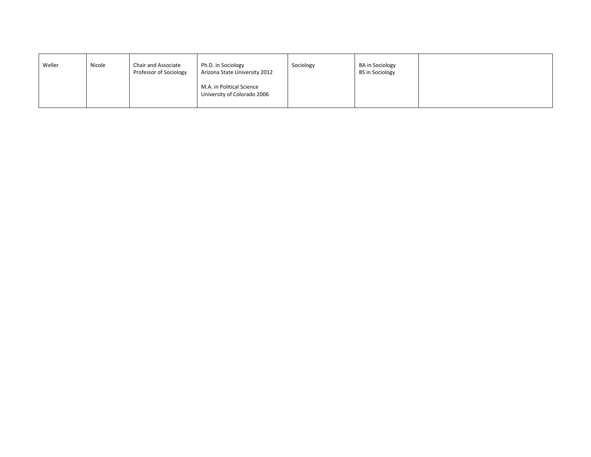| Weller | Nicole | Chair and Associate<br>Professor of Sociology | Ph.D. in Sociology<br>Arizona State University 2012      | Sociology | <b>BA</b> in Sociology<br><b>BS in Sociology</b> |  |
|--------|--------|-----------------------------------------------|----------------------------------------------------------|-----------|--------------------------------------------------|--|
|        |        |                                               | M.A. in Political Science<br>University of Colorado 2006 |           |                                                  |  |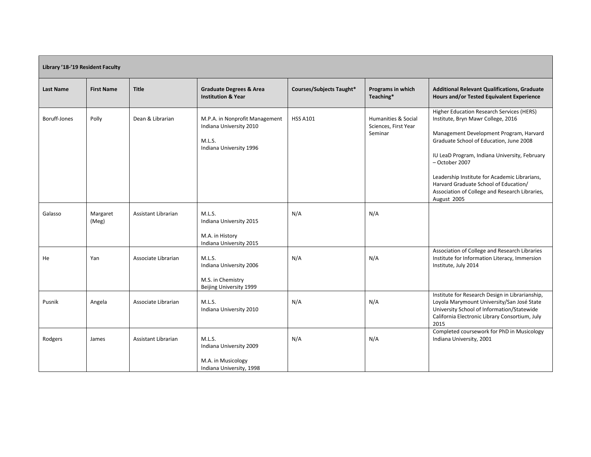| Library '18-'19 Resident Faculty |                   |                     |                                                                                                |                          |                                                        |                                                                                                                                                                                                                                                                                                                                                                                                     |  |  |
|----------------------------------|-------------------|---------------------|------------------------------------------------------------------------------------------------|--------------------------|--------------------------------------------------------|-----------------------------------------------------------------------------------------------------------------------------------------------------------------------------------------------------------------------------------------------------------------------------------------------------------------------------------------------------------------------------------------------------|--|--|
| <b>Last Name</b>                 | <b>First Name</b> | <b>Title</b>        | <b>Graduate Degrees &amp; Area</b><br><b>Institution &amp; Year</b>                            | Courses/Subjects Taught* | Programs in which<br>Teaching*                         | <b>Additional Relevant Qualifications, Graduate</b><br>Hours and/or Tested Equivalent Experience                                                                                                                                                                                                                                                                                                    |  |  |
| Boruff-Jones                     | Polly             | Dean & Librarian    | M.P.A. in Nonprofit Management<br>Indiana University 2010<br>M.L.S.<br>Indiana University 1996 | <b>HSS A101</b>          | Humanities & Social<br>Sciences, First Year<br>Seminar | Higher Education Research Services (HERS)<br>Institute, Bryn Mawr College, 2016<br>Management Development Program, Harvard<br>Graduate School of Education, June 2008<br>IU LeaD Program, Indiana University, February<br>- October 2007<br>Leadership Institute for Academic Librarians,<br>Harvard Graduate School of Education/<br>Association of College and Research Libraries,<br>August 2005 |  |  |
| Galasso                          | Margaret<br>(Meg) | Assistant Librarian | M.L.S.<br>Indiana University 2015<br>M.A. in History<br>Indiana University 2015                | N/A                      | N/A                                                    |                                                                                                                                                                                                                                                                                                                                                                                                     |  |  |
| He                               | Yan               | Associate Librarian | M.L.S.<br>Indiana University 2006<br>M.S. in Chemistry<br>Beijing University 1999              | N/A                      | N/A                                                    | Association of College and Research Libraries<br>Institute for Information Literacy, Immersion<br>Institute, July 2014                                                                                                                                                                                                                                                                              |  |  |
| Pusnik                           | Angela            | Associate Librarian | M.L.S.<br>Indiana University 2010                                                              | N/A                      | N/A                                                    | Institute for Research Design in Librarianship,<br>Loyola Marymount University/San José State<br>University School of Information/Statewide<br>California Electronic Library Consortium, July<br>2015                                                                                                                                                                                               |  |  |
| Rodgers                          | James             | Assistant Librarian | M.L.S.<br>Indiana University 2009<br>M.A. in Musicology<br>Indiana University, 1998            | N/A                      | N/A                                                    | Completed coursework for PhD in Musicology<br>Indiana University, 2001                                                                                                                                                                                                                                                                                                                              |  |  |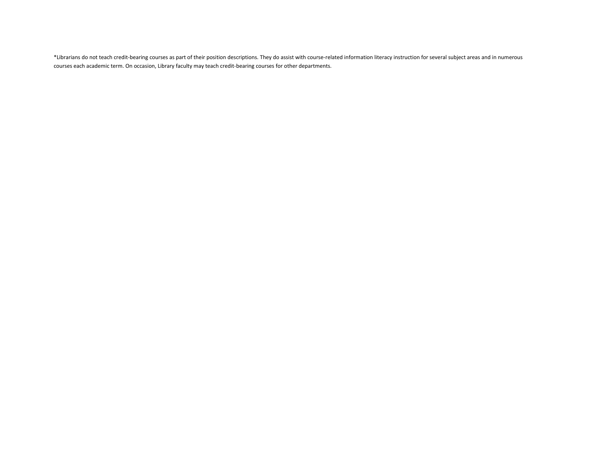\*Librarians do not teach credit-bearing courses as part of their position descriptions. They do assist with course-related information literacy instruction for several subject areas and in numerous courses each academic term. On occasion, Library faculty may teach credit-bearing courses for other departments.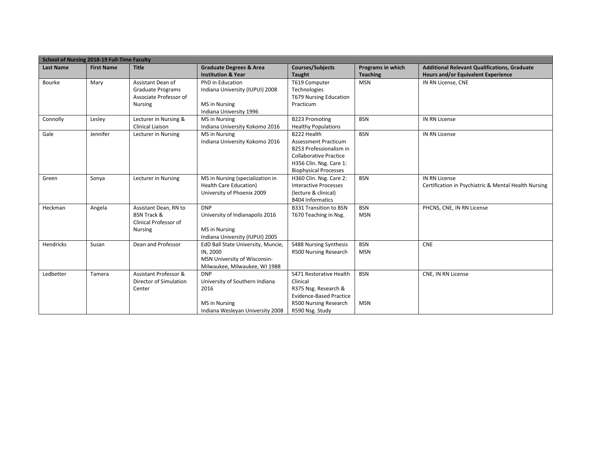|                  | School of Nursing 2018-19 Full-Time Faculty |                                                                                            |                                                                                                                 |                                                                                                                                                                   |                                      |                                                                                           |
|------------------|---------------------------------------------|--------------------------------------------------------------------------------------------|-----------------------------------------------------------------------------------------------------------------|-------------------------------------------------------------------------------------------------------------------------------------------------------------------|--------------------------------------|-------------------------------------------------------------------------------------------|
| <b>Last Name</b> | <b>First Name</b>                           | <b>Title</b>                                                                               | <b>Graduate Degrees &amp; Area</b><br><b>Institution &amp; Year</b>                                             | <b>Courses/Subjects</b><br><b>Taught</b>                                                                                                                          | Programs in which<br><b>Teaching</b> | <b>Additional Relevant Qualifications, Graduate</b><br>Hours and/or Equivalent Experience |
| Bourke           | Mary                                        | Assistant Dean of<br><b>Graduate Programs</b><br>Associate Professor of<br><b>Nursing</b>  | PhD in Education<br>Indiana University (IUPUI) 2008<br>MS in Nursing<br>Indiana University 1996                 | T619 Computer<br>Technologies<br><b>T679 Nursing Education</b><br>Practicum                                                                                       | <b>MSN</b>                           | IN RN License, CNE                                                                        |
| Connolly         | Lesley                                      | Lecturer in Nursing &<br>Clinical Liaison                                                  | MS in Nursing<br>Indiana University Kokomo 2016                                                                 | <b>B223 Promoting</b><br><b>Healthy Populations</b>                                                                                                               | <b>BSN</b>                           | <b>IN RN License</b>                                                                      |
| Gale             | Jennifer                                    | Lecturer in Nursing                                                                        | MS in Nursing<br>Indiana University Kokomo 2016                                                                 | B222 Health<br><b>Assessment Practicum</b><br>B253 Professionalism in<br><b>Collaborative Practice</b><br>H356 Clin. Nsg. Care 1:<br><b>Biophysical Processes</b> | <b>BSN</b>                           | IN RN License                                                                             |
| Green            | Sonya                                       | Lecturer in Nursing                                                                        | MS in Nursing (specialization in<br>Health Care Education)<br>University of Phoenix 2009                        | H360 Clin. Nsg. Care 2:<br><b>Interactive Processes</b><br>(lecture & clinical)<br><b>B404 Informatics</b>                                                        | <b>BSN</b>                           | <b>IN RN License</b><br>Certification in Psychiatric & Mental Health Nursing              |
| Heckman          | Angela                                      | Assistant Dean, RN to<br><b>BSN Track &amp;</b><br>Clinical Professor of<br><b>Nursing</b> | <b>DNP</b><br>University of Indianapolis 2016<br>MS in Nursing<br>Indiana University (IUPUI) 2005               | <b>B331 Transition to BSN</b><br>T670 Teaching in Nsg.                                                                                                            | <b>BSN</b><br><b>MSN</b>             | PHCNS, CNE, IN RN License                                                                 |
| Hendricks        | Susan                                       | Dean and Professor                                                                         | EdD Ball State University, Muncie,<br>IN, 2000<br>MSN University of Wisconsin-<br>Milwaukee, Milwaukee, WI 1988 | S488 Nursing Synthesis<br>R500 Nursing Research                                                                                                                   | <b>BSN</b><br><b>MSN</b>             | <b>CNE</b>                                                                                |
| Ledbetter        | Tamera                                      | Assistant Professor &<br>Director of Simulation<br>Center                                  | <b>DNP</b><br>University of Southern Indiana<br>2016<br>MS in Nursing<br>Indiana Wesleyan University 2008       | S471 Restorative Health<br>Clinical<br>R375 Nsg. Research &<br><b>Evidence-Based Practice</b><br>R500 Nursing Research<br>R590 Nsg. Study                         | <b>BSN</b><br><b>MSN</b>             | CNE, IN RN License                                                                        |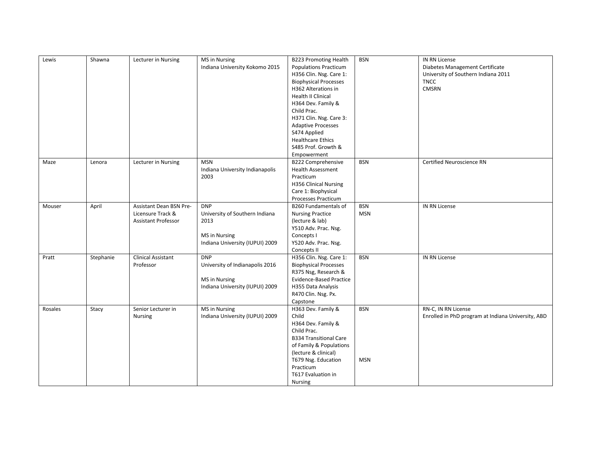| Lewis   | Shawna    | Lecturer in Nursing                                                               | MS in Nursing<br>Indiana University Kokomo 2015                                                          | <b>B223 Promoting Health</b><br><b>Populations Practicum</b><br>H356 Clin. Nsg. Care 1:<br><b>Biophysical Processes</b><br>H362 Alterations in<br><b>Health II Clinical</b><br>H364 Dev. Family &<br>Child Prac.<br>H371 Clin. Nsg. Care 3:<br><b>Adaptive Processes</b><br>S474 Applied<br><b>Healthcare Ethics</b><br>S485 Prof. Growth &<br>Empowerment | <b>BSN</b>               | IN RN License<br>Diabetes Management Certificate<br>University of Southern Indiana 2011<br><b>TNCC</b><br><b>CMSRN</b> |
|---------|-----------|-----------------------------------------------------------------------------------|----------------------------------------------------------------------------------------------------------|------------------------------------------------------------------------------------------------------------------------------------------------------------------------------------------------------------------------------------------------------------------------------------------------------------------------------------------------------------|--------------------------|------------------------------------------------------------------------------------------------------------------------|
| Maze    | Lenora    | Lecturer in Nursing                                                               | <b>MSN</b><br>Indiana University Indianapolis<br>2003                                                    | <b>B222 Comprehensive</b><br><b>Health Assessment</b><br>Practicum<br>H356 Clinical Nursing<br>Care 1: Biophysical<br><b>Processes Practicum</b>                                                                                                                                                                                                           | <b>BSN</b>               | Certified Neuroscience RN                                                                                              |
| Mouser  | April     | <b>Assistant Dean BSN Pre-</b><br>Licensure Track &<br><b>Assistant Professor</b> | <b>DNP</b><br>University of Southern Indiana<br>2013<br>MS in Nursing<br>Indiana University (IUPUI) 2009 | <b>B260 Fundamentals of</b><br><b>Nursing Practice</b><br>(lecture & lab)<br>Y510 Adv. Prac. Nsg.<br>Concepts I<br>Y520 Adv. Prac. Nsg.<br>Concepts II                                                                                                                                                                                                     | <b>BSN</b><br><b>MSN</b> | IN RN License                                                                                                          |
| Pratt   | Stephanie | <b>Clinical Assistant</b><br>Professor                                            | <b>DNP</b><br>University of Indianapolis 2016<br>MS in Nursing<br>Indiana University (IUPUI) 2009        | H356 Clin. Nsg. Care 1:<br><b>Biophysical Processes</b><br>R375 Nsg, Research &<br><b>Evidence-Based Practice</b><br>H355 Data Analysis<br>R470 Clin. Nsg. Px.<br>Capstone                                                                                                                                                                                 | <b>BSN</b>               | IN RN License                                                                                                          |
| Rosales | Stacy     | Senior Lecturer in<br>Nursing                                                     | MS in Nursing<br>Indiana University (IUPUI) 2009                                                         | H363 Dev. Family &<br>Child<br>H364 Dev. Family &<br>Child Prac.<br><b>B334 Transitional Care</b><br>of Family & Populations<br>(lecture & clinical)<br>T679 Nsg. Education<br>Practicum<br>T617 Evaluation in<br>Nursing                                                                                                                                  | <b>BSN</b><br><b>MSN</b> | RN-C, IN RN License<br>Enrolled in PhD program at Indiana University, ABD                                              |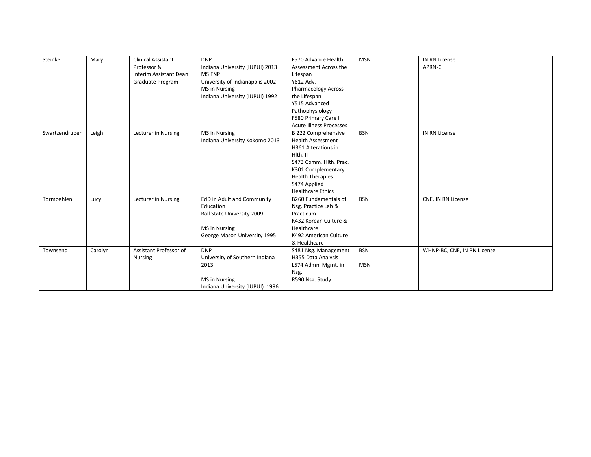| Steinke        | Mary    | <b>Clinical Assistant</b><br>Professor &<br>Interim Assistant Dean<br>Graduate Program | <b>DNP</b><br>Indiana University (IUPUI) 2013<br>MS FNP<br>University of Indianapolis 2002<br>MS in Nursing<br>Indiana University (IUPUI) 1992 | F570 Advance Health<br>Assessment Across the<br>Lifespan<br>Y612 Adv.<br><b>Pharmacology Across</b><br>the Lifespan<br>Y515 Advanced<br>Pathophysiology<br>F580 Primary Care I:<br><b>Acute Illness Processes</b> | <b>MSN</b>               | <b>IN RN License</b><br>APRN-C |
|----------------|---------|----------------------------------------------------------------------------------------|------------------------------------------------------------------------------------------------------------------------------------------------|-------------------------------------------------------------------------------------------------------------------------------------------------------------------------------------------------------------------|--------------------------|--------------------------------|
| Swartzendruber | Leigh   | Lecturer in Nursing                                                                    | MS in Nursing<br>Indiana University Kokomo 2013                                                                                                | <b>B 222 Comprehensive</b><br><b>Health Assessment</b><br>H361 Alterations in<br>Hlth. II<br>S473 Comm. Hlth. Prac.<br>K301 Complementary<br><b>Health Therapies</b><br>S474 Applied<br><b>Healthcare Ethics</b>  | <b>BSN</b>               | IN RN License                  |
| Tormoehlen     | Lucy    | Lecturer in Nursing                                                                    | EdD in Adult and Community<br>Education<br>Ball State University 2009<br>MS in Nursing<br>George Mason University 1995                         | <b>B260 Fundamentals of</b><br>Nsg. Practice Lab &<br>Practicum<br>K432 Korean Culture &<br>Healthcare<br>K492 American Culture<br>& Healthcare                                                                   | <b>BSN</b>               | CNE, IN RN License             |
| Townsend       | Carolyn | Assistant Professor of<br><b>Nursing</b>                                               | <b>DNP</b><br>University of Southern Indiana<br>2013<br>MS in Nursing<br>Indiana University (IUPUI) 1996                                       | S481 Nsg. Management<br>H355 Data Analysis<br>L574 Admn. Mgmt. in<br>Nsg.<br>R590 Nsg. Study                                                                                                                      | <b>BSN</b><br><b>MSN</b> | WHNP-BC, CNE, IN RN License    |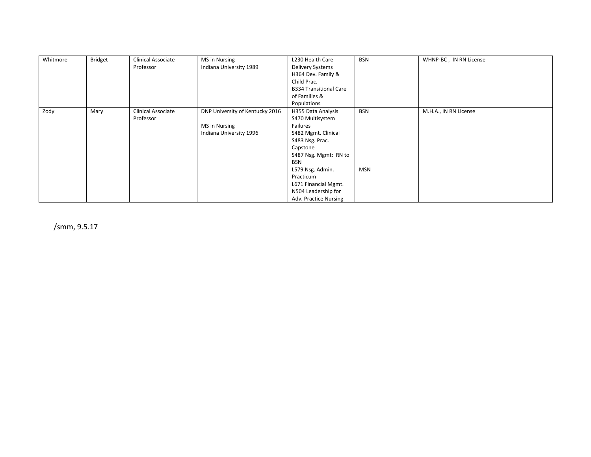| Whitmore | <b>Bridget</b> | Clinical Associate<br>Professor | MS in Nursing<br>Indiana University 1989                                    | L230 Health Care<br>Delivery Systems<br>H364 Dev. Family &                                                                                                                                                                                               | <b>BSN</b>        | WHNP-BC, IN RN License |
|----------|----------------|---------------------------------|-----------------------------------------------------------------------------|----------------------------------------------------------------------------------------------------------------------------------------------------------------------------------------------------------------------------------------------------------|-------------------|------------------------|
|          |                |                                 |                                                                             | Child Prac.<br><b>B334 Transitional Care</b><br>of Families &<br>Populations                                                                                                                                                                             |                   |                        |
| Zody     | Mary           | Clinical Associate<br>Professor | DNP University of Kentucky 2016<br>MS in Nursing<br>Indiana University 1996 | H355 Data Analysis<br>S470 Multisystem<br>Failures<br>S482 Mgmt. Clinical<br>S483 Nsg. Prac.<br>Capstone<br>S487 Nsg. Mgmt: RN to<br><b>BSN</b><br>L579 Nsg. Admin.<br>Practicum<br>L671 Financial Mgmt.<br>N504 Leadership for<br>Adv. Practice Nursing | BSN<br><b>MSN</b> | M.H.A., IN RN License  |

/smm, 9.5.17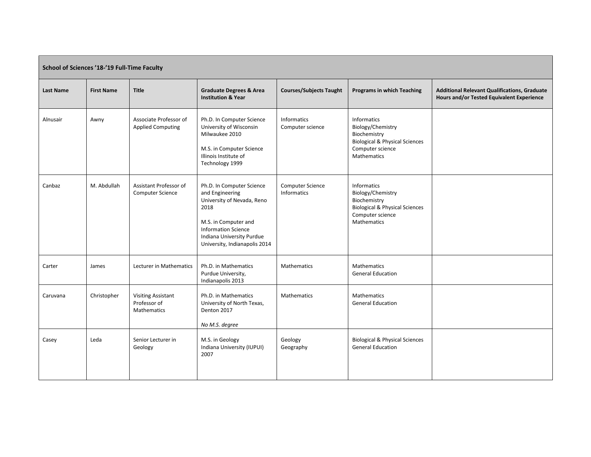| School of Sciences '18-'19 Full-Time Faculty |                   |                                                                 |                                                                                                                                                                                                        |                                 |                                                                                                                                                |                                                                                                  |  |  |
|----------------------------------------------|-------------------|-----------------------------------------------------------------|--------------------------------------------------------------------------------------------------------------------------------------------------------------------------------------------------------|---------------------------------|------------------------------------------------------------------------------------------------------------------------------------------------|--------------------------------------------------------------------------------------------------|--|--|
| <b>Last Name</b>                             | <b>First Name</b> | <b>Title</b>                                                    | <b>Graduate Degrees &amp; Area</b><br><b>Institution &amp; Year</b>                                                                                                                                    | <b>Courses/Subjects Taught</b>  | <b>Programs in which Teaching</b>                                                                                                              | <b>Additional Relevant Qualifications, Graduate</b><br>Hours and/or Tested Equivalent Experience |  |  |
| Alnusair                                     | Awny              | Associate Professor of<br><b>Applied Computing</b>              | Ph.D. In Computer Science<br>University of Wisconsin<br>Milwaukee 2010<br>M.S. in Computer Science<br>Illinois Institute of<br>Technology 1999                                                         | Informatics<br>Computer science | <b>Informatics</b><br>Biology/Chemistry<br>Biochemistry<br><b>Biological &amp; Physical Sciences</b><br>Computer science<br><b>Mathematics</b> |                                                                                                  |  |  |
| Canbaz                                       | M. Abdullah       | Assistant Professor of<br><b>Computer Science</b>               | Ph.D. In Computer Science<br>and Engineering<br>University of Nevada, Reno<br>2018<br>M.S. in Computer and<br><b>Information Science</b><br>Indiana University Purdue<br>University, Indianapolis 2014 | Computer Science<br>Informatics | <b>Informatics</b><br>Biology/Chemistry<br>Biochemistry<br><b>Biological &amp; Physical Sciences</b><br>Computer science<br>Mathematics        |                                                                                                  |  |  |
| Carter                                       | James             | Lecturer in Mathematics                                         | Ph.D. in Mathematics<br>Purdue University,<br>Indianapolis 2013                                                                                                                                        | Mathematics                     | <b>Mathematics</b><br><b>General Education</b>                                                                                                 |                                                                                                  |  |  |
| Caruvana                                     | Christopher       | <b>Visiting Assistant</b><br>Professor of<br><b>Mathematics</b> | Ph.D. in Mathematics<br>University of North Texas,<br>Denton 2017<br>No M.S. degree                                                                                                                    | Mathematics                     | <b>Mathematics</b><br><b>General Education</b>                                                                                                 |                                                                                                  |  |  |
| Casey                                        | Leda              | Senior Lecturer in<br>Geology                                   | M.S. in Geology<br>Indiana University (IUPUI)<br>2007                                                                                                                                                  | Geology<br>Geography            | <b>Biological &amp; Physical Sciences</b><br><b>General Education</b>                                                                          |                                                                                                  |  |  |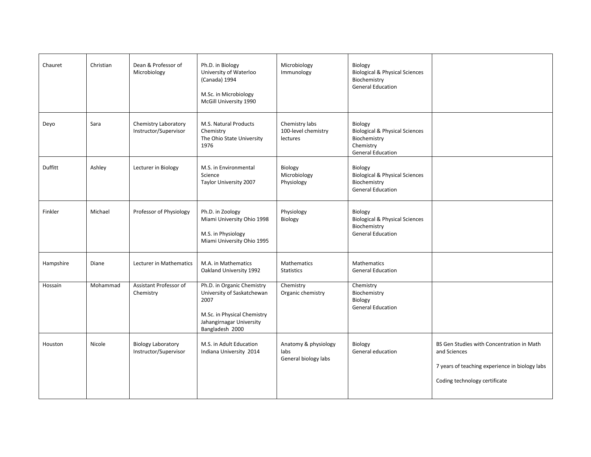| Chauret   | Christian | Dean & Professor of<br>Microbiology                | Ph.D. in Biology<br>University of Waterloo<br>(Canada) 1994<br>M.Sc. in Microbiology<br>McGill University 1990                                 | Microbiology<br>Immunology                           | Biology<br><b>Biological &amp; Physical Sciences</b><br>Biochemistry<br><b>General Education</b>              |                                                                                                                                              |
|-----------|-----------|----------------------------------------------------|------------------------------------------------------------------------------------------------------------------------------------------------|------------------------------------------------------|---------------------------------------------------------------------------------------------------------------|----------------------------------------------------------------------------------------------------------------------------------------------|
| Deyo      | Sara      | Chemistry Laboratory<br>Instructor/Supervisor      | M.S. Natural Products<br>Chemistry<br>The Ohio State University<br>1976                                                                        | Chemistry labs<br>100-level chemistry<br>lectures    | Biology<br><b>Biological &amp; Physical Sciences</b><br>Biochemistry<br>Chemistry<br><b>General Education</b> |                                                                                                                                              |
| Duffitt   | Ashley    | Lecturer in Biology                                | M.S. in Environmental<br>Science<br>Taylor University 2007                                                                                     | Biology<br>Microbiology<br>Physiology                | Biology<br><b>Biological &amp; Physical Sciences</b><br>Biochemistry<br><b>General Education</b>              |                                                                                                                                              |
| Finkler   | Michael   | Professor of Physiology                            | Ph.D. in Zoology<br>Miami University Ohio 1998<br>M.S. in Physiology<br>Miami University Ohio 1995                                             | Physiology<br>Biology                                | Biology<br><b>Biological &amp; Physical Sciences</b><br>Biochemistry<br><b>General Education</b>              |                                                                                                                                              |
| Hampshire | Diane     | Lecturer in Mathematics                            | M.A. in Mathematics<br>Oakland University 1992                                                                                                 | Mathematics<br><b>Statistics</b>                     | Mathematics<br><b>General Education</b>                                                                       |                                                                                                                                              |
| Hossain   | Mohammad  | Assistant Professor of<br>Chemistry                | Ph.D. in Organic Chemistry<br>University of Saskatchewan<br>2007<br>M.Sc. in Physical Chemistry<br>Jahangirnagar University<br>Bangladesh 2000 | Chemistry<br>Organic chemistry                       | Chemistry<br>Biochemistry<br>Biology<br><b>General Education</b>                                              |                                                                                                                                              |
| Houston   | Nicole    | <b>Biology Laboratory</b><br>Instructor/Supervisor | M.S. in Adult Education<br>Indiana University 2014                                                                                             | Anatomy & physiology<br>labs<br>General biology labs | Biology<br>General education                                                                                  | BS Gen Studies with Concentration in Math<br>and Sciences<br>7 years of teaching experience in biology labs<br>Coding technology certificate |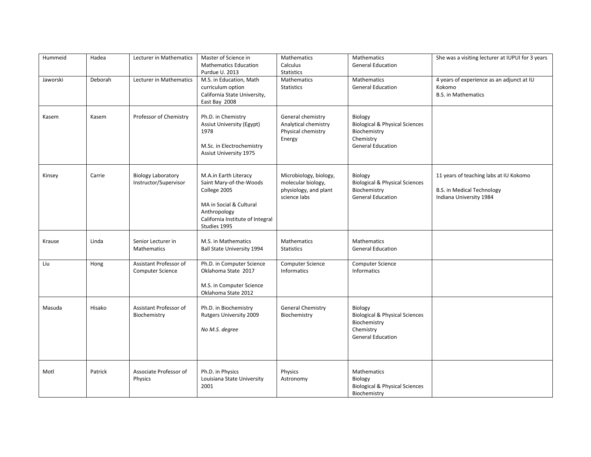| Hummeid  | Hadea   | Lecturer in Mathematics                            | Master of Science in<br><b>Mathematics Education</b><br>Purdue U. 2013                                                                                          | Mathematics<br>Calculus<br><b>Statistics</b>                                          | Mathematics<br><b>General Education</b>                                                                       | She was a visiting lecturer at IUPUI for 3 years                                                       |
|----------|---------|----------------------------------------------------|-----------------------------------------------------------------------------------------------------------------------------------------------------------------|---------------------------------------------------------------------------------------|---------------------------------------------------------------------------------------------------------------|--------------------------------------------------------------------------------------------------------|
| Jaworski | Deborah | Lecturer in Mathematics                            | M.S. in Education, Math<br>curriculum option<br>California State University,<br>East Bay 2008                                                                   | Mathematics<br><b>Statistics</b>                                                      | <b>Mathematics</b><br><b>General Education</b>                                                                | 4 years of experience as an adjunct at IU<br>Kokomo<br><b>B.S.</b> in Mathematics                      |
| Kasem    | Kasem   | Professor of Chemistry                             | Ph.D. in Chemistry<br><b>Assiut University (Egypt)</b><br>1978<br>M.Sc. in Electrochemistry<br>Assiut University 1975                                           | General chemistry<br>Analytical chemistry<br>Physical chemistry<br>Energy             | Biology<br><b>Biological &amp; Physical Sciences</b><br>Biochemistry<br>Chemistry<br><b>General Education</b> |                                                                                                        |
| Kinsey   | Carrie  | <b>Biology Laboratory</b><br>Instructor/Supervisor | M.A.in Earth Literacy<br>Saint Mary-of-the-Woods<br>College 2005<br>MA in Social & Cultural<br>Anthropology<br>California Institute of Integral<br>Studies 1995 | Microbiology, biology,<br>molecular biology,<br>physiology, and plant<br>science labs | Biology<br><b>Biological &amp; Physical Sciences</b><br>Biochemistry<br><b>General Education</b>              | 11 years of teaching labs at IU Kokomo<br><b>B.S. in Medical Technology</b><br>Indiana University 1984 |
| Krause   | Linda   | Senior Lecturer in<br>Mathematics                  | M.S. in Mathematics<br><b>Ball State University 1994</b>                                                                                                        | Mathematics<br><b>Statistics</b>                                                      | Mathematics<br><b>General Education</b>                                                                       |                                                                                                        |
| Liu      | Hong    | Assistant Professor of<br>Computer Science         | Ph.D. in Computer Science<br>Oklahoma State 2017<br>M.S. in Computer Science<br>Oklahoma State 2012                                                             | Computer Science<br>Informatics                                                       | Computer Science<br>Informatics                                                                               |                                                                                                        |
| Masuda   | Hisako  | Assistant Professor of<br>Biochemistry             | Ph.D. in Biochemistry<br>Rutgers University 2009<br>No M.S. degree                                                                                              | <b>General Chemistry</b><br>Biochemistry                                              | Biology<br><b>Biological &amp; Physical Sciences</b><br>Biochemistry<br>Chemistry<br><b>General Education</b> |                                                                                                        |
| Motl     | Patrick | Associate Professor of<br>Physics                  | Ph.D. in Physics<br>Louisiana State University<br>2001                                                                                                          | Physics<br>Astronomy                                                                  | Mathematics<br>Biology<br><b>Biological &amp; Physical Sciences</b><br>Biochemistry                           |                                                                                                        |